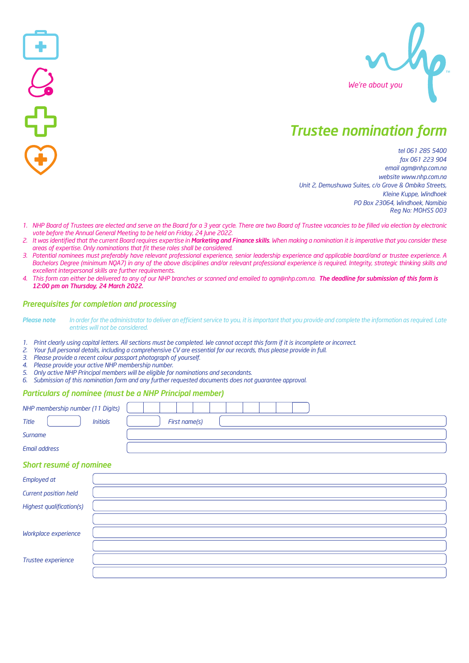

# *Trustee nomination form*

*tel 061 285 5400 fax 061 223 904 email agm@nhp.com.na website www.nhp.com.na Unit 2, Demushuwa Suites, c/o Grove & Ombika Streets, Kleine Kuppe, Windhoek PO Box 23064, Windhoek, Namibia Reg No: MOHSS 003*

- 1. NHP Board of Trustees are elected and serve on the Board for a 3 year cycle. There are two Board of Trustee vacancies to be filled via election by electronic *vote before the Annual General Meeting to be held on Friday, 24 June 2022.*
- 2. It was identified that the current Board requires expertise in Marketing and Finance skills. When making a nomination it is imperative that vou consider these *areas of expertise. Only nominations that fit these roles shall be considered.*
- *3. Potential nominees must preferably have relevant professional experience, senior leadership experience and applicable board/and or trustee experience. A*  Bachelors Degree (minimum NQA7) in any of the above disciplines and/or relevant professional experience is required. Integrity, strategic thinking skills and *excellent interpersonal skills are further requirements.*
- *4. This form can either be delivered to any of our NHP branches or scanned and emailed to agm@nhp.com.na. The deadline for submission of this form is 12:00 pm on Thursday, 24 March 2022.*

## *Prerequisites for completion and processing*

Please note In order for the administrator to deliver an efficient service to you, it is important that you provide and complete the information as required. Late *entries will not be considered.* 

*1. Print clearly using capital letters. All sections must be completed. We cannot accept this form if it is incomplete or incorrect.* 

- *2. Your full personal details, including a comprehensive CV are essential for our records, thus please provide in full.*
- *3. Please provide a recent colour passport photograph of yourself.*
- *4. Please provide your active NHP membership number.*
- *5. Only active NHP Principal members will be eligible for nominations and secondants.*
- *6. Submission of this nomination form and any further requested documents does not guarantee approval.*

#### *Particulars of nominee (must be a NHP Principal member)*

| NHP membership number (11 Digits) |               |
|-----------------------------------|---------------|
| Title<br><b>Initials</b>          | First name(s) |
| Surname                           |               |
| Email address                     |               |

### *Short resumé of nominee*

| <b>Employed at</b>       |  |
|--------------------------|--|
| Current position held    |  |
| Highest qualification(s) |  |
|                          |  |
| Workplace experience     |  |
|                          |  |
| Trustee experience       |  |
|                          |  |